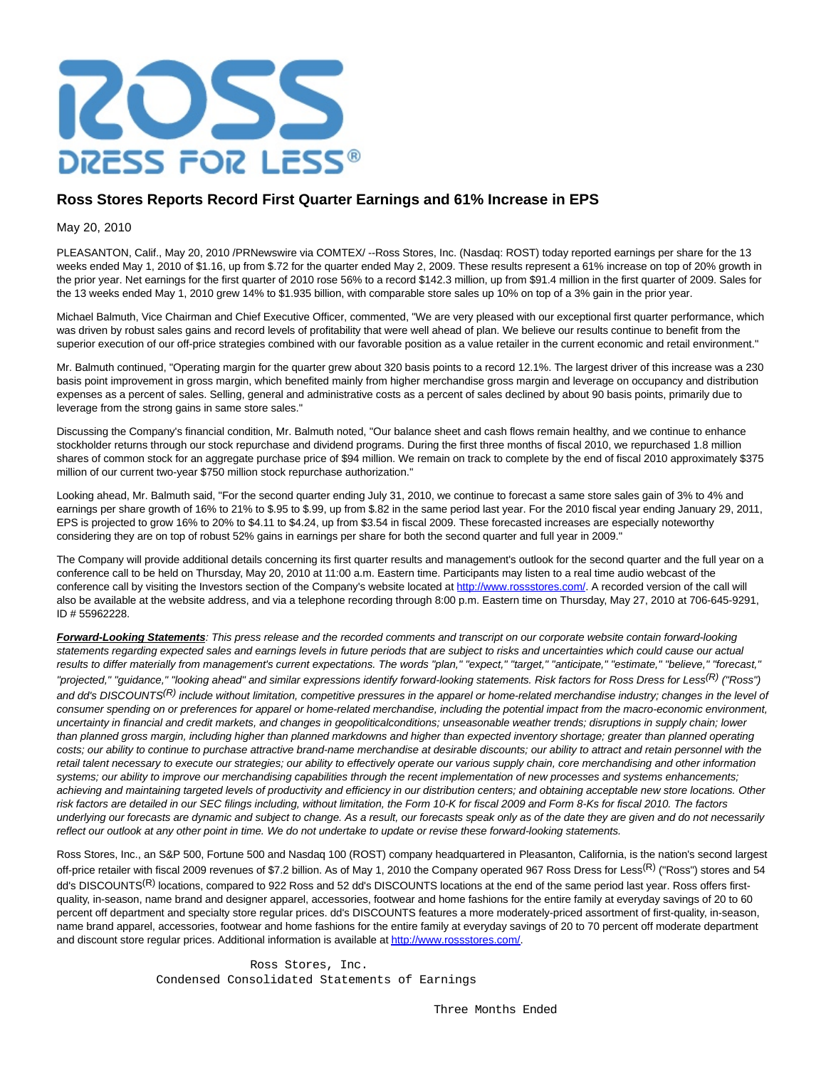

## **Ross Stores Reports Record First Quarter Earnings and 61% Increase in EPS**

## May 20, 2010

PLEASANTON, Calif., May 20, 2010 /PRNewswire via COMTEX/ --Ross Stores, Inc. (Nasdaq: ROST) today reported earnings per share for the 13 weeks ended May 1, 2010 of \$1.16, up from \$.72 for the quarter ended May 2, 2009. These results represent a 61% increase on top of 20% growth in the prior year. Net earnings for the first quarter of 2010 rose 56% to a record \$142.3 million, up from \$91.4 million in the first quarter of 2009. Sales for the 13 weeks ended May 1, 2010 grew 14% to \$1.935 billion, with comparable store sales up 10% on top of a 3% gain in the prior year.

Michael Balmuth, Vice Chairman and Chief Executive Officer, commented, "We are very pleased with our exceptional first quarter performance, which was driven by robust sales gains and record levels of profitability that were well ahead of plan. We believe our results continue to benefit from the superior execution of our off-price strategies combined with our favorable position as a value retailer in the current economic and retail environment."

Mr. Balmuth continued, "Operating margin for the quarter grew about 320 basis points to a record 12.1%. The largest driver of this increase was a 230 basis point improvement in gross margin, which benefited mainly from higher merchandise gross margin and leverage on occupancy and distribution expenses as a percent of sales. Selling, general and administrative costs as a percent of sales declined by about 90 basis points, primarily due to leverage from the strong gains in same store sales."

Discussing the Company's financial condition, Mr. Balmuth noted, "Our balance sheet and cash flows remain healthy, and we continue to enhance stockholder returns through our stock repurchase and dividend programs. During the first three months of fiscal 2010, we repurchased 1.8 million shares of common stock for an aggregate purchase price of \$94 million. We remain on track to complete by the end of fiscal 2010 approximately \$375 million of our current two-year \$750 million stock repurchase authorization."

Looking ahead, Mr. Balmuth said, "For the second quarter ending July 31, 2010, we continue to forecast a same store sales gain of 3% to 4% and earnings per share growth of 16% to 21% to \$.95 to \$.99, up from \$.82 in the same period last year. For the 2010 fiscal year ending January 29, 2011, EPS is projected to grow 16% to 20% to \$4.11 to \$4.24, up from \$3.54 in fiscal 2009. These forecasted increases are especially noteworthy considering they are on top of robust 52% gains in earnings per share for both the second quarter and full year in 2009."

The Company will provide additional details concerning its first quarter results and management's outlook for the second quarter and the full year on a conference call to be held on Thursday, May 20, 2010 at 11:00 a.m. Eastern time. Participants may listen to a real time audio webcast of the conference call by visiting the Investors section of the Company's website located at [http://www.rossstores.com/.](http://www.rossstores.com/) A recorded version of the call will also be available at the website address, and via a telephone recording through 8:00 p.m. Eastern time on Thursday, May 27, 2010 at 706-645-9291, ID # 55962228.

**Forward-Looking Statements**: This press release and the recorded comments and transcript on our corporate website contain forward-looking statements regarding expected sales and earnings levels in future periods that are subject to risks and uncertainties which could cause our actual results to differ materially from management's current expectations. The words "plan," "expect," "target," "anticipate," "estimate," "believe," "forecast," "projected," "quidance," "looking ahead" and similar expressions identify forward-looking statements. Risk factors for Ross Dress for Less<sup>(R)</sup> ("Ross") and dd's DISCOUNTS<sup>(R)</sup> include without limitation, competitive pressures in the apparel or home-related merchandise industry; changes in the level of consumer spending on or preferences for apparel or home-related merchandise, including the potential impact from the macro-economic environment, uncertainty in financial and credit markets, and changes in geopoliticalconditions; unseasonable weather trends; disruptions in supply chain; lower than planned gross margin, including higher than planned markdowns and higher than expected inventory shortage; greater than planned operating costs; our ability to continue to purchase attractive brand-name merchandise at desirable discounts; our ability to attract and retain personnel with the retail talent necessary to execute our strategies; our ability to effectively operate our various supply chain, core merchandising and other information systems; our ability to improve our merchandising capabilities through the recent implementation of new processes and systems enhancements; achieving and maintaining targeted levels of productivity and efficiency in our distribution centers; and obtaining acceptable new store locations. Other risk factors are detailed in our SEC filings including, without limitation, the Form 10-K for fiscal 2009 and Form 8-Ks for fiscal 2010. The factors underlying our forecasts are dynamic and subject to change. As a result, our forecasts speak only as of the date they are given and do not necessarily reflect our outlook at any other point in time. We do not undertake to update or revise these forward-looking statements.

Ross Stores, Inc., an S&P 500, Fortune 500 and Nasdaq 100 (ROST) company headquartered in Pleasanton, California, is the nation's second largest off-price retailer with fiscal 2009 revenues of \$7.2 billion. As of May 1, 2010 the Company operated 967 Ross Dress for Less<sup>(R)</sup> ("Ross") stores and 54 dd's DISCOUNTS<sup>(R)</sup> locations, compared to 922 Ross and 52 dd's DISCOUNTS locations at the end of the same period last year. Ross offers firstquality, in-season, name brand and designer apparel, accessories, footwear and home fashions for the entire family at everyday savings of 20 to 60 percent off department and specialty store regular prices. dd's DISCOUNTS features a more moderately-priced assortment of first-quality, in-season, name brand apparel, accessories, footwear and home fashions for the entire family at everyday savings of 20 to 70 percent off moderate department and discount store regular prices. Additional information is available a[t http://www.rossstores.com/.](http://www.rossstores.com/)

> Ross Stores, Inc. Condensed Consolidated Statements of Earnings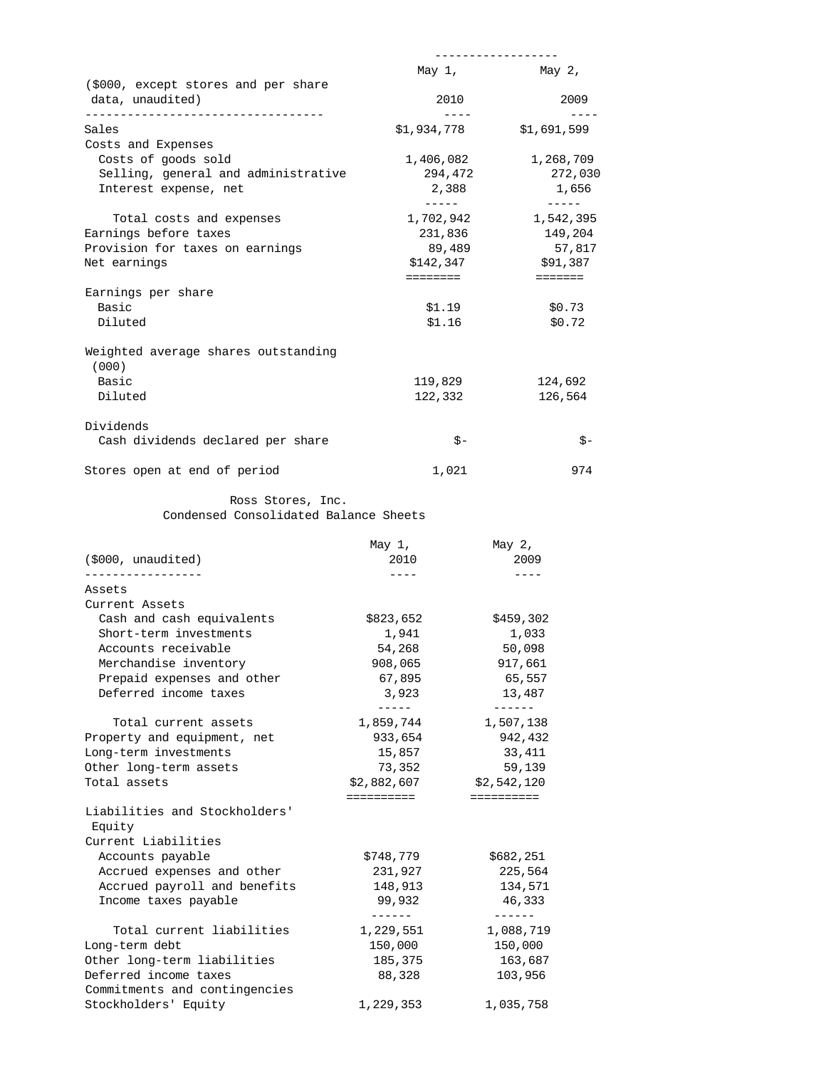|                                              | May 1,                     | May 2,      |
|----------------------------------------------|----------------------------|-------------|
| (\$000, except stores and per share          |                            |             |
| data, unaudited)                             | 2010                       | 2009        |
| Sales                                        | \$1,934,778                | \$1,691,599 |
| Costs and Expenses                           |                            |             |
| Costs of goods sold                          | 1,406,082                  | 1,268,709   |
| Selling, general and administrative          | 294,472                    | 272,030     |
| Interest expense, net                        | 2,388                      | 1,656       |
| Total costs and expenses                     | $- - - - - -$<br>1,702,942 | 1,542,395   |
| Earnings before taxes                        | 231,836                    | 149,204     |
| Provision for taxes on earnings              | 89,489                     | 57,817      |
| Net earnings                                 | \$142,347                  | \$91,387    |
|                                              | ========                   | =======     |
| Earnings per share                           |                            |             |
| Basic                                        | \$1.19                     | \$0.73      |
| Diluted                                      | \$1.16                     | \$0.72      |
| Weighted average shares outstanding<br>(000) |                            |             |
| Basic                                        | 119,829                    | 124,692     |
| Diluted                                      | 122,332                    | 126,564     |
| Dividends                                    |                            |             |
| Cash dividends declared per share            | $S -$                      | $S -$       |
| Stores open at end of period                 | 1,021                      | 974         |

Ross Stores, Inc.

Condensed Consolidated Balance Sheets

| (5000, unaudited)                       | May $1$ ,<br>2010 | May $2,$<br>2009 |
|-----------------------------------------|-------------------|------------------|
| Assets                                  | ----              | ----             |
| Current Assets                          |                   |                  |
| Cash and cash equivalents               | \$823,652         | \$459,302        |
| Short-term investments                  | 1,941             | 1,033            |
| Accounts receivable                     | 54,268            | 50,098           |
| Merchandise inventory                   | 908,065           | 917,661          |
| Prepaid expenses and other              | 67,895            | 65,557           |
| Deferred income taxes                   | 3,923             | 13,487           |
|                                         | ------            | ------           |
| Total current assets                    | 1,859,744         | 1,507,138        |
| Property and equipment, net             | 933,654           | 942,432          |
| Long-term investments                   | 15,857            | 33,411           |
| Other long-term assets                  | 73,352            | 59,139           |
| Total assets                            | \$2,882,607       | \$2,542,120      |
|                                         | ==========        | ==========       |
| Liabilities and Stockholders'<br>Equity |                   |                  |
| Current Liabilities                     |                   |                  |
| Accounts payable                        | \$748,779         | \$682,251        |
| Accrued expenses and other              | 231,927           | 225,564          |
| Accrued payroll and benefits            | 148,913           | 134,571          |
| Income taxes payable                    | 99,932            | 46,333           |
|                                         | -------           |                  |
| Total current liabilities               | 1,229,551         | 1,088,719        |
| Long-term debt                          | 150,000           | 150,000          |
| Other long-term liabilities             | 185,375           | 163,687          |
| Deferred income taxes                   | 88,328            | 103,956          |
| Commitments and contingencies           |                   |                  |
| Stockholders' Equity                    | 1,229,353         | 1,035,758        |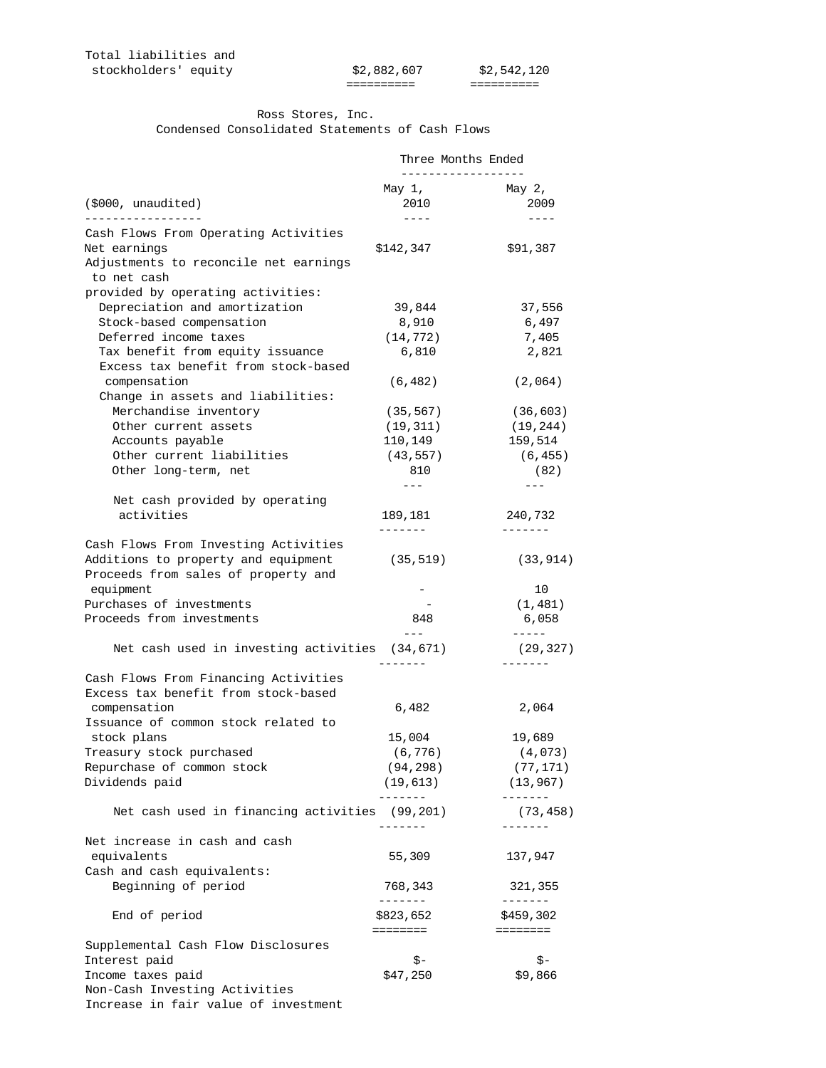========== ==========

## Ross Stores, Inc. Condensed Consolidated Statements of Cash Flows

|                                                                             | Three Months Ended   |                      |
|-----------------------------------------------------------------------------|----------------------|----------------------|
|                                                                             | May 1,               | May $2,$             |
| (5000, unaudited)                                                           | 2010                 | 2009                 |
| <u>____________</u>                                                         | $- - - - -$          | $- - - -$            |
| Cash Flows From Operating Activities                                        |                      |                      |
| Net earnings                                                                | \$142,347            | \$91,387             |
| Adjustments to reconcile net earnings<br>to net cash                        |                      |                      |
| provided by operating activities:                                           |                      |                      |
| Depreciation and amortization                                               | 39,844               | 37,556               |
| Stock-based compensation                                                    | 8,910                | 6,497                |
| Deferred income taxes                                                       | (14, 772)            | 7,405                |
| Tax benefit from equity issuance<br>Excess tax benefit from stock-based     | 6,810                | 2,821                |
| compensation                                                                | (6, 482)             | (2,064)              |
| Change in assets and liabilities:                                           |                      |                      |
| Merchandise inventory                                                       | (35, 567)            | (36, 603)            |
| Other current assets                                                        | (19, 311)            | (19, 244)            |
| Accounts payable<br>Other current liabilities                               | 110,149<br>(43, 557) | 159,514              |
| Other long-term, net                                                        | 810                  | (6, 455)<br>(82)     |
|                                                                             | $---$                |                      |
| Net cash provided by operating                                              |                      |                      |
| activities                                                                  | 189,181              | 240,732              |
|                                                                             | -------              | -------              |
| Cash Flows From Investing Activities                                        |                      |                      |
| Additions to property and equipment                                         | (35, 519)            | (33, 914)            |
| Proceeds from sales of property and                                         |                      |                      |
| equipment                                                                   | $-$                  | 10                   |
| Purchases of investments                                                    |                      | (1, 481)             |
| Proceeds from investments                                                   | 848                  | 6,058                |
| Net cash used in investing activities (34,671)                              | $\qquad \qquad - -$  | $-----$<br>(29, 327) |
|                                                                             |                      |                      |
| Cash Flows From Financing Activities<br>Excess tax benefit from stock-based |                      |                      |
| compensation                                                                | 6,482                | 2,064                |
| Issuance of common stock related to                                         |                      |                      |
| stock plans                                                                 | 15,004               | 19,689               |
| Treasury stock purchased                                                    | (6, 776)             | (4,073)              |
| Repurchase of common stock                                                  | (94, 298)            | (77, 171)            |
| Dividends paid                                                              | (19, 613)            | (13, 967)            |
| Net cash used in financing activities (99,201)                              |                      | -------<br>(73, 458) |
| Net increase in cash and cash                                               |                      | ------               |
| equivalents                                                                 | 55,309               | 137,947              |
| Cash and cash equivalents:                                                  |                      |                      |
| Beginning of period                                                         | 768,343              | 321,355              |
|                                                                             | --------             | -------              |
| End of period                                                               | \$823,652            | \$459,302            |
|                                                                             | ========             | ========             |
| Supplemental Cash Flow Disclosures                                          |                      |                      |
| Interest paid                                                               | \$-                  | \$-                  |
| Income taxes paid                                                           | \$47,250             | \$9,866              |
| Non-Cash Investing Activities                                               |                      |                      |